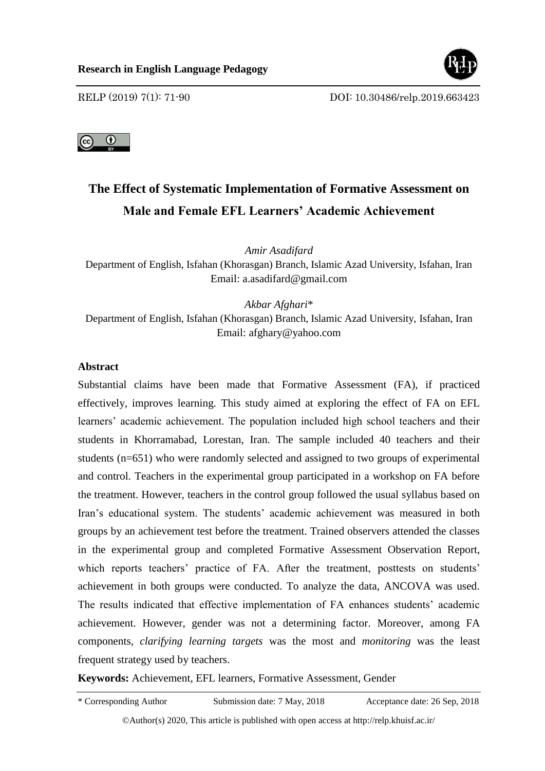



# **The Effect of Systematic Implementation of Formative Assessment on Male and Female EFL Learners' Academic Achievement**

*Amir Asadifard* 

Department of English, Isfahan (Khorasgan) Branch, Islamic Azad University, Isfahan, Iran Email: [a.asadifard@gmail.com](mailto:a.asadifard@gmail.com)

*Akbar Afghari*\*

Department of English, Isfahan (Khorasgan) Branch, Islamic Azad University, Isfahan, Iran Email: [afghary@yahoo.com](mailto:afghary@yahoo.com)

# **Abstract**

Substantial claims have been made that Formative Assessment (FA), if practiced effectively, improves learning. This study aimed at exploring the effect of FA on EFL learners' academic achievement. The population included high school teachers and their students in Khorramabad, Lorestan, Iran. The sample included 40 teachers and their students (n=651) who were randomly selected and assigned to two groups of experimental and control. Teachers in the experimental group participated in a workshop on FA before the treatment. However, teachers in the control group followed the usual syllabus based on Iran's educational system. The students' academic achievement was measured in both groups by an achievement test before the treatment. Trained observers attended the classes in the experimental group and completed Formative Assessment Observation Report, which reports teachers' practice of FA. After the treatment, posttests on students' achievement in both groups were conducted. To analyze the data, ANCOVA was used. The results indicated that effective implementation of FA enhances students' academic achievement. However, gender was not a determining factor. Moreover, among FA components, *clarifying learning targets* was the most and *monitoring* was the least frequent strategy used by teachers.

**Keywords:** Achievement, EFL learners, Formative Assessment, Gender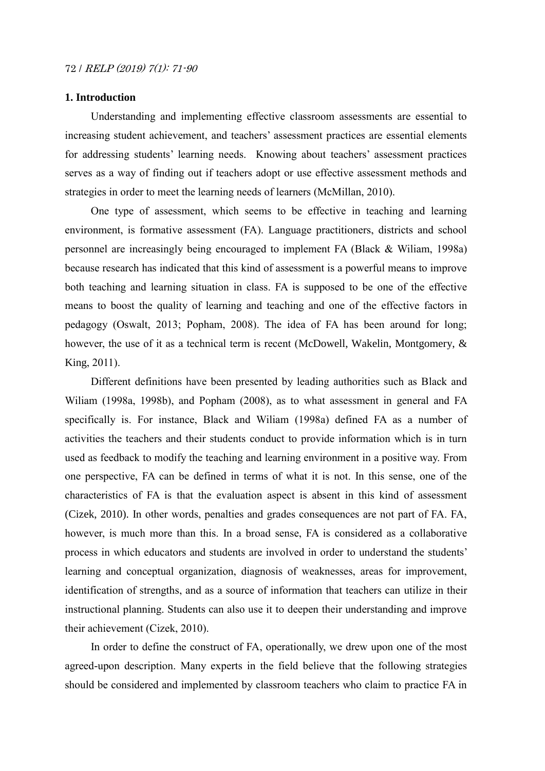## **1. Introduction**

Understanding and implementing effective classroom assessments are essential to increasing student achievement, and teachers' assessment practices are essential elements for addressing students' learning needs. Knowing about teachers' assessment practices serves as a way of finding out if teachers adopt or use effective assessment methods and strategies in order to meet the learning needs of learners (McMillan, 2010).

One type of assessment, which seems to be effective in teaching and learning environment, is formative assessment (FA). Language practitioners, districts and school personnel are increasingly being encouraged to implement FA (Black & Wiliam, 1998a) because research has indicated that this kind of assessment is a powerful means to improve both teaching and learning situation in class. FA is supposed to be one of the effective means to boost the quality of learning and teaching and one of the effective factors in pedagogy (Oswalt, 2013; Popham, 2008). The idea of FA has been around for long; however, the use of it as a technical term is recent (McDowell, Wakelin, Montgomery, & King, 2011).

Different definitions have been presented by leading authorities such as Black and Wiliam (1998a, 1998b), and Popham (2008), as to what assessment in general and FA specifically is. For instance, Black and Wiliam (1998a) defined FA as a number of activities the teachers and their students conduct to provide information which is in turn used as feedback to modify the teaching and learning environment in a positive way. From one perspective, FA can be defined in terms of what it is not. In this sense, one of the characteristics of FA is that the evaluation aspect is absent in this kind of assessment (Cizek, 2010). In other words, penalties and grades consequences are not part of FA. FA, however, is much more than this. In a broad sense, FA is considered as a collaborative process in which educators and students are involved in order to understand the students' learning and conceptual organization, diagnosis of weaknesses, areas for improvement, identification of strengths, and as a source of information that teachers can utilize in their instructional planning. Students can also use it to deepen their understanding and improve their achievement (Cizek, 2010).

In order to define the construct of FA, operationally, we drew upon one of the most agreed-upon description. Many experts in the field believe that the following strategies should be considered and implemented by classroom teachers who claim to practice FA in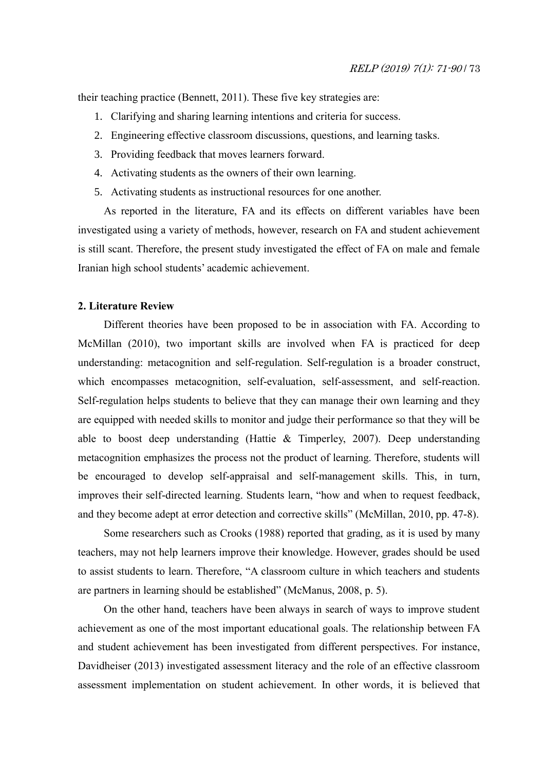their teaching practice (Bennett, 2011). These five key strategies are:

- 1. Clarifying and sharing learning intentions and criteria for success.
- 2. Engineering effective classroom discussions, questions, and learning tasks.
- 3. Providing feedback that moves learners forward.
- 4. Activating students as the owners of their own learning.
- 5. Activating students as instructional resources for one another.

As reported in the literature, FA and its effects on different variables have been investigated using a variety of methods, however, research on FA and student achievement is still scant. Therefore, the present study investigated the effect of FA on male and female Iranian high school students' academic achievement.

#### **2. Literature Review**

Different theories have been proposed to be in association with FA. According to McMillan (2010), two important skills are involved when FA is practiced for deep understanding: metacognition and self-regulation. Self-regulation is a broader construct, which encompasses metacognition, self-evaluation, self-assessment, and self-reaction. Self-regulation helps students to believe that they can manage their own learning and they are equipped with needed skills to monitor and judge their performance so that they will be able to boost deep understanding (Hattie & Timperley, 2007). Deep understanding metacognition emphasizes the process not the product of learning. Therefore, students will be encouraged to develop self-appraisal and self-management skills. This, in turn, improves their self-directed learning. Students learn, "how and when to request feedback, and they become adept at error detection and corrective skills" (McMillan, 2010, pp. 47-8).

Some researchers such as Crooks (1988) reported that grading, as it is used by many teachers, may not help learners improve their knowledge. However, grades should be used to assist students to learn. Therefore, "A classroom culture in which teachers and students are partners in learning should be established" (McManus, 2008, p. 5).

On the other hand, teachers have been always in search of ways to improve student achievement as one of the most important educational goals. The relationship between FA and student achievement has been investigated from different perspectives. For instance, Davidheiser (2013) investigated assessment literacy and the role of an effective classroom assessment implementation on student achievement. In other words, it is believed that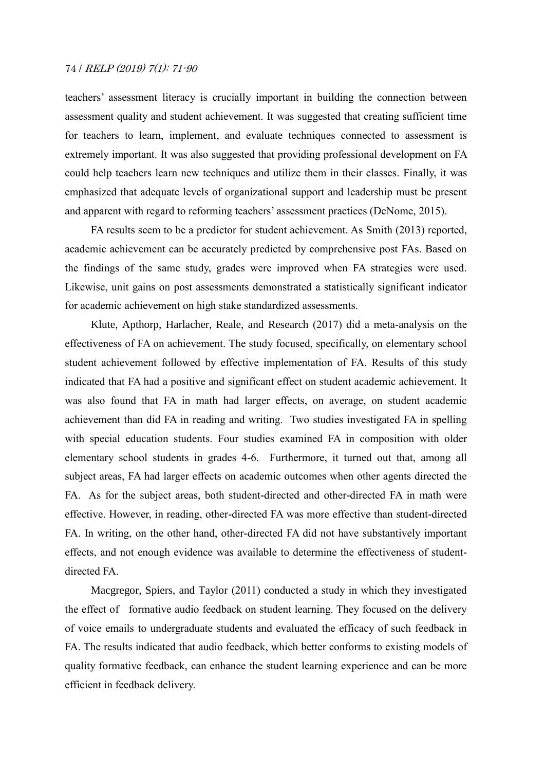teachers' assessment literacy is crucially important in building the connection between assessment quality and student achievement. It was suggested that creating sufficient time for teachers to learn, implement, and evaluate techniques connected to assessment is extremely important. It was also suggested that providing professional development on FA could help teachers learn new techniques and utilize them in their classes. Finally, it was emphasized that adequate levels of organizational support and leadership must be present and apparent with regard to reforming teachers' assessment practices (DeNome, 2015).

FA results seem to be a predictor for student achievement. As Smith (2013) reported, academic achievement can be accurately predicted by comprehensive post FAs. Based on the findings of the same study, grades were improved when FA strategies were used. Likewise, unit gains on post assessments demonstrated a statistically significant indicator for academic achievement on high stake standardized assessments.

Klute, Apthorp, Harlacher, Reale, and Research (2017) did a meta-analysis on the effectiveness of FA on achievement. The study focused, specifically, on elementary school student achievement followed by effective implementation of FA. Results of this study indicated that FA had a positive and significant effect on student academic achievement. It was also found that FA in math had larger effects, on average, on student academic achievement than did FA in reading and writing. Two studies investigated FA in spelling with special education students. Four studies examined FA in composition with older elementary school students in grades 4-6. Furthermore, it turned out that, among all subject areas, FA had larger effects on academic outcomes when other agents directed the FA. As for the subject areas, both student-directed and other-directed FA in math were effective. However, in reading, other-directed FA was more effective than student-directed FA. In writing, on the other hand, other-directed FA did not have substantively important effects, and not enough evidence was available to determine the effectiveness of studentdirected FA.

Macgregor, Spiers, and Taylor (2011) conducted a study in which they investigated the effect of formative audio feedback on student learning. They focused on the delivery of voice emails to undergraduate students and evaluated the efficacy of such feedback in FA. The results indicated that audio feedback, which better conforms to existing models of quality formative feedback, can enhance the student learning experience and can be more efficient in feedback delivery.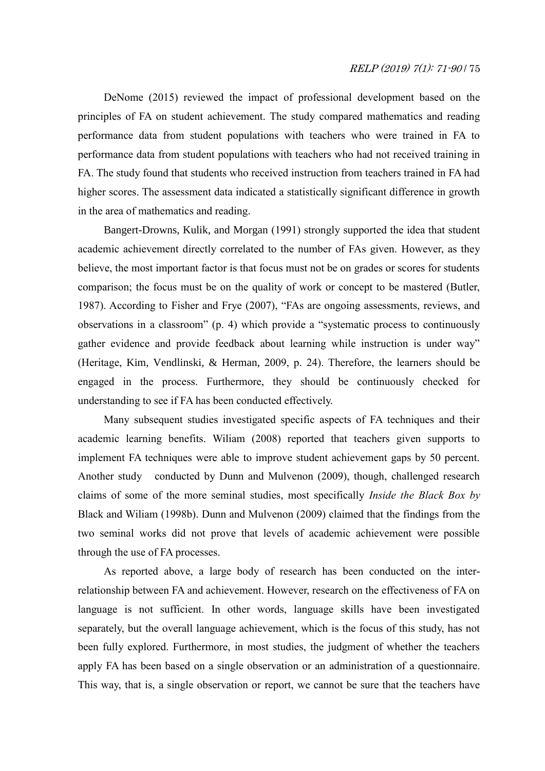## RELP (2019) 7(1): 71-90 / 75

DeNome (2015) reviewed the impact of professional development based on the principles of FA on student achievement. The study compared mathematics and reading performance data from student populations with teachers who were trained in FA to performance data from student populations with teachers who had not received training in FA. The study found that students who received instruction from teachers trained in FA had higher scores. The assessment data indicated a statistically significant difference in growth in the area of mathematics and reading.

Bangert-Drowns, Kulik, and Morgan (1991) strongly supported the idea that student academic achievement directly correlated to the number of FAs given. However, as they believe, the most important factor is that focus must not be on grades or scores for students comparison; the focus must be on the quality of work or concept to be mastered (Butler, 1987). According to Fisher and Frye (2007), "FAs are ongoing assessments, reviews, and observations in a classroom" (p. 4) which provide a "systematic process to continuously gather evidence and provide feedback about learning while instruction is under way" (Heritage, Kim, Vendlinski, & Herman, 2009, p. 24). Therefore, the learners should be engaged in the process. Furthermore, they should be continuously checked for understanding to see if FA has been conducted effectively.

Many subsequent studies investigated specific aspects of FA techniques and their academic learning benefits. Wiliam (2008) reported that teachers given supports to implement FA techniques were able to improve student achievement gaps by 50 percent. Another study conducted by Dunn and Mulvenon (2009), though, challenged research claims of some of the more seminal studies, most specifically *Inside the Black Box by*  Black and Wiliam (1998b). Dunn and Mulvenon (2009) claimed that the findings from the two seminal works did not prove that levels of academic achievement were possible through the use of FA processes.

As reported above, a large body of research has been conducted on the interrelationship between FA and achievement. However, research on the effectiveness of FA on language is not sufficient. In other words, language skills have been investigated separately, but the overall language achievement, which is the focus of this study, has not been fully explored. Furthermore, in most studies, the judgment of whether the teachers apply FA has been based on a single observation or an administration of a questionnaire. This way, that is, a single observation or report, we cannot be sure that the teachers have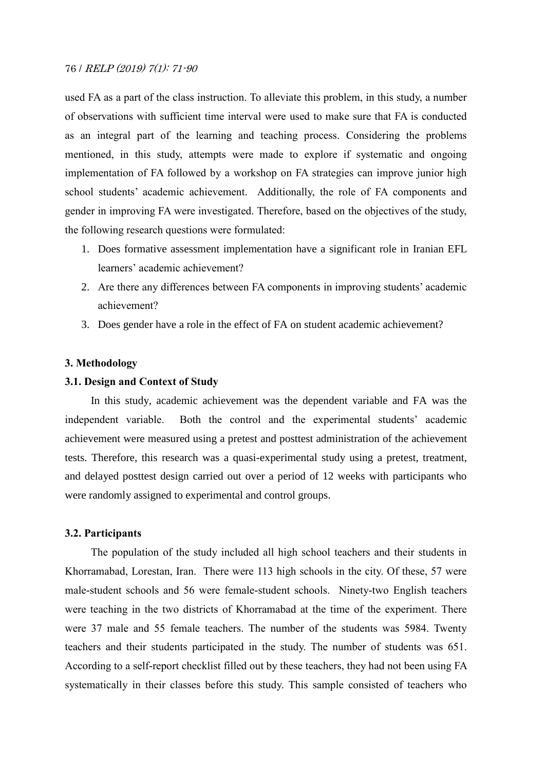used FA as a part of the class instruction. To alleviate this problem, in this study, a number of observations with sufficient time interval were used to make sure that FA is conducted as an integral part of the learning and teaching process. Considering the problems mentioned, in this study, attempts were made to explore if systematic and ongoing implementation of FA followed by a workshop on FA strategies can improve junior high school students' academic achievement. Additionally, the role of FA components and gender in improving FA were investigated. Therefore, based on the objectives of the study, the following research questions were formulated:

- 1. Does formative assessment implementation have a significant role in Iranian EFL learners' academic achievement?
- 2. Are there any differences between FA components in improving students' academic achievement?
- 3. Does gender have a role in the effect of FA on student academic achievement?

#### **3. Methodology**

## **3.1. Design and Context of Study**

In this study, academic achievement was the dependent variable and FA was the independent variable. Both the control and the experimental students' academic achievement were measured using a pretest and posttest administration of the achievement tests. Therefore, this research was a quasi-experimental study using a pretest, treatment, and delayed posttest design carried out over a period of 12 weeks with participants who were randomly assigned to experimental and control groups.

#### **3.2. Participants**

The population of the study included all high school teachers and their students in Khorramabad, Lorestan, Iran. There were 113 high schools in the city. Of these, 57 were male-student schools and 56 were female-student schools. Ninety-two English teachers were teaching in the two districts of Khorramabad at the time of the experiment. There were 37 male and 55 female teachers. The number of the students was 5984. Twenty teachers and their students participated in the study. The number of students was 651. According to a self-report checklist filled out by these teachers, they had not been using FA systematically in their classes before this study. This sample consisted of teachers who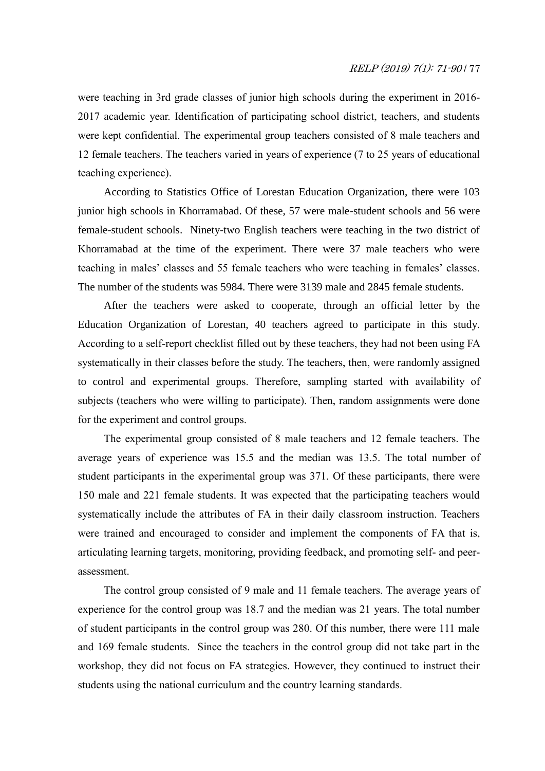were teaching in 3rd grade classes of junior high schools during the experiment in 2016- 2017 academic year. Identification of participating school district, teachers, and students were kept confidential. The experimental group teachers consisted of 8 male teachers and 12 female teachers. The teachers varied in years of experience (7 to 25 years of educational teaching experience).

According to Statistics Office of Lorestan Education Organization, there were 103 junior high schools in Khorramabad. Of these, 57 were male-student schools and 56 were female-student schools. Ninety-two English teachers were teaching in the two district of Khorramabad at the time of the experiment. There were 37 male teachers who were teaching in males' classes and 55 female teachers who were teaching in females' classes. The number of the students was 5984. There were 3139 male and 2845 female students.

After the teachers were asked to cooperate, through an official letter by the Education Organization of Lorestan, 40 teachers agreed to participate in this study. According to a self-report checklist filled out by these teachers, they had not been using FA systematically in their classes before the study. The teachers, then, were randomly assigned to control and experimental groups. Therefore, sampling started with availability of subjects (teachers who were willing to participate). Then, random assignments were done for the experiment and control groups.

The experimental group consisted of 8 male teachers and 12 female teachers. The average years of experience was 15.5 and the median was 13.5. The total number of student participants in the experimental group was 371. Of these participants, there were 150 male and 221 female students. It was expected that the participating teachers would systematically include the attributes of FA in their daily classroom instruction. Teachers were trained and encouraged to consider and implement the components of FA that is, articulating learning targets, monitoring, providing feedback, and promoting self- and peerassessment.

The control group consisted of 9 male and 11 female teachers. The average years of experience for the control group was 18.7 and the median was 21 years. The total number of student participants in the control group was 280. Of this number, there were 111 male and 169 female students. Since the teachers in the control group did not take part in the workshop, they did not focus on FA strategies. However, they continued to instruct their students using the national curriculum and the country learning standards.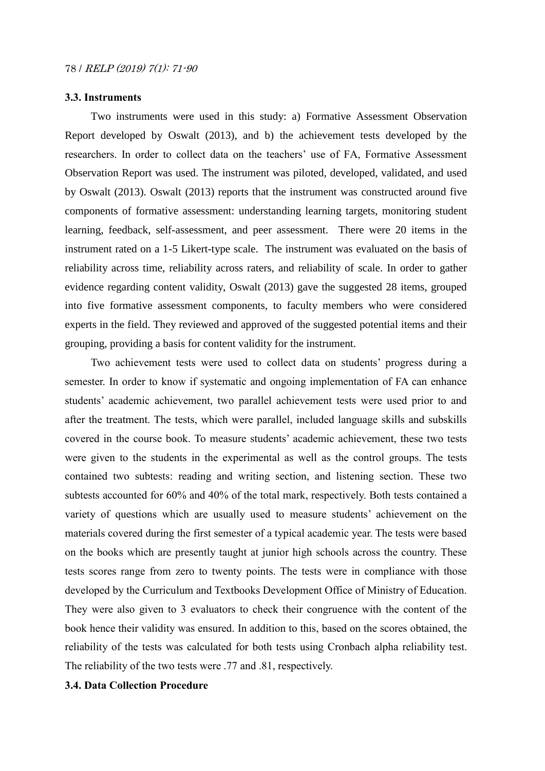#### **3.3. Instruments**

Two instruments were used in this study: a) Formative Assessment Observation Report developed by Oswalt (2013), and b) the achievement tests developed by the researchers. In order to collect data on the teachers' use of FA, Formative Assessment Observation Report was used. The instrument was piloted, developed, validated, and used by Oswalt (2013). Oswalt (2013) reports that the instrument was constructed around five components of formative assessment: understanding learning targets, monitoring student learning, feedback, self-assessment, and peer assessment. There were 20 items in the instrument rated on a 1-5 Likert-type scale. The instrument was evaluated on the basis of reliability across time, reliability across raters, and reliability of scale. In order to gather evidence regarding content validity, Oswalt (2013) gave the suggested 28 items, grouped into five formative assessment components, to faculty members who were considered experts in the field. They reviewed and approved of the suggested potential items and their grouping, providing a basis for content validity for the instrument.

Two achievement tests were used to collect data on students' progress during a semester. In order to know if systematic and ongoing implementation of FA can enhance students' academic achievement, two parallel achievement tests were used prior to and after the treatment. The tests, which were parallel, included language skills and subskills covered in the course book. To measure students' academic achievement, these two tests were given to the students in the experimental as well as the control groups. The tests contained two subtests: reading and writing section, and listening section. These two subtests accounted for 60% and 40% of the total mark, respectively. Both tests contained a variety of questions which are usually used to measure students' achievement on the materials covered during the first semester of a typical academic year. The tests were based on the books which are presently taught at junior high schools across the country. These tests scores range from zero to twenty points. The tests were in compliance with those developed by the Curriculum and Textbooks Development Office of Ministry of Education. They were also given to 3 evaluators to check their congruence with the content of the book hence their validity was ensured. In addition to this, based on the scores obtained, the reliability of the tests was calculated for both tests using Cronbach alpha reliability test. The reliability of the two tests were .77 and .81, respectively.

### **3.4. Data Collection Procedure**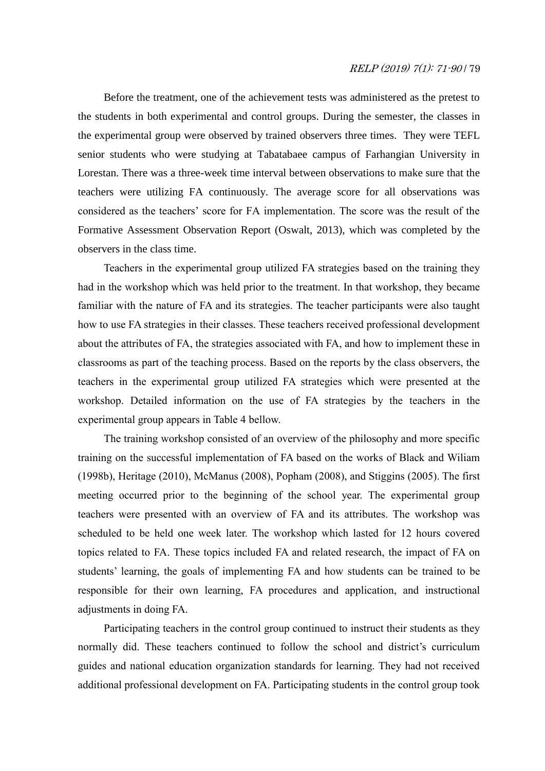## RELP (2019) 7(1): 71-90 / 79

Before the treatment, one of the achievement tests was administered as the pretest to the students in both experimental and control groups. During the semester, the classes in the experimental group were observed by trained observers three times. They were TEFL senior students who were studying at Tabatabaee campus of Farhangian University in Lorestan. There was a three-week time interval between observations to make sure that the teachers were utilizing FA continuously. The average score for all observations was considered as the teachers' score for FA implementation. The score was the result of the Formative Assessment Observation Report (Oswalt, 2013), which was completed by the observers in the class time.

Teachers in the experimental group utilized FA strategies based on the training they had in the workshop which was held prior to the treatment. In that workshop, they became familiar with the nature of FA and its strategies. The teacher participants were also taught how to use FA strategies in their classes. These teachers received professional development about the attributes of FA, the strategies associated with FA, and how to implement these in classrooms as part of the teaching process. Based on the reports by the class observers, the teachers in the experimental group utilized FA strategies which were presented at the workshop. Detailed information on the use of FA strategies by the teachers in the experimental group appears in Table 4 bellow.

The training workshop consisted of an overview of the philosophy and more specific training on the successful implementation of FA based on the works of Black and Wiliam (1998b), Heritage (2010), McManus (2008), Popham (2008), and Stiggins (2005). The first meeting occurred prior to the beginning of the school year. The experimental group teachers were presented with an overview of FA and its attributes. The workshop was scheduled to be held one week later. The workshop which lasted for 12 hours covered topics related to FA. These topics included FA and related research, the impact of FA on students' learning, the goals of implementing FA and how students can be trained to be responsible for their own learning, FA procedures and application, and instructional adjustments in doing FA.

Participating teachers in the control group continued to instruct their students as they normally did. These teachers continued to follow the school and district's curriculum guides and national education organization standards for learning. They had not received additional professional development on FA. Participating students in the control group took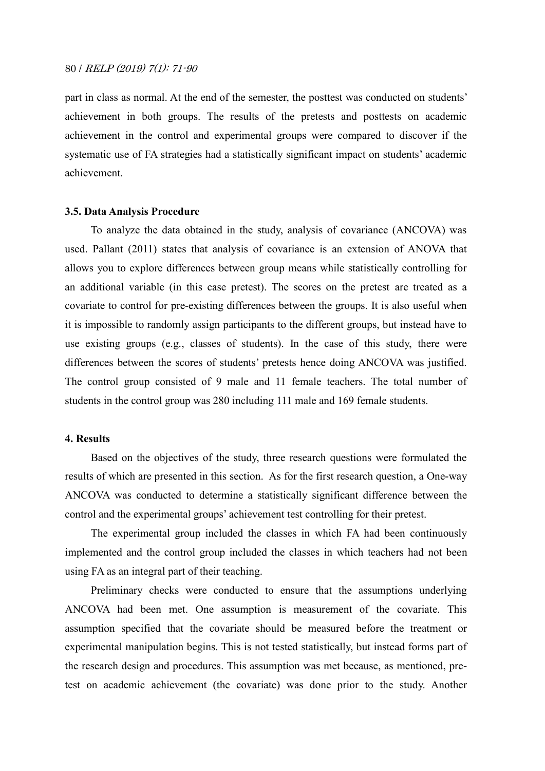part in class as normal. At the end of the semester, the posttest was conducted on students' achievement in both groups. The results of the pretests and posttests on academic achievement in the control and experimental groups were compared to discover if the systematic use of FA strategies had a statistically significant impact on students' academic achievement.

### **3.5. Data Analysis Procedure**

To analyze the data obtained in the study, analysis of covariance (ANCOVA) was used. Pallant (2011) states that analysis of covariance is an extension of ANOVA that allows you to explore differences between group means while statistically controlling for an additional variable (in this case pretest). The scores on the pretest are treated as a covariate to control for pre-existing differences between the groups. It is also useful when it is impossible to randomly assign participants to the different groups, but instead have to use existing groups (e.g., classes of students). In the case of this study, there were differences between the scores of students' pretests hence doing ANCOVA was justified. The control group consisted of 9 male and 11 female teachers. The total number of students in the control group was 280 including 111 male and 169 female students.

## **4. Results**

Based on the objectives of the study, three research questions were formulated the results of which are presented in this section. As for the first research question, a One-way ANCOVA was conducted to determine a statistically significant difference between the control and the experimental groups' achievement test controlling for their pretest.

The experimental group included the classes in which FA had been continuously implemented and the control group included the classes in which teachers had not been using FA as an integral part of their teaching.

Preliminary checks were conducted to ensure that the assumptions underlying ANCOVA had been met. One assumption is measurement of the covariate. This assumption specified that the covariate should be measured before the treatment or experimental manipulation begins. This is not tested statistically, but instead forms part of the research design and procedures. This assumption was met because, as mentioned, pretest on academic achievement (the covariate) was done prior to the study. Another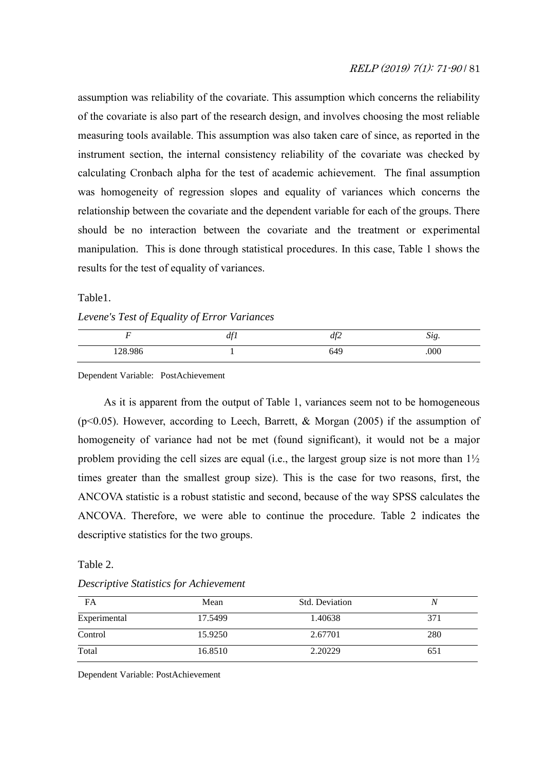assumption was reliability of the covariate. This assumption which concerns the reliability of the covariate is also part of the research design, and involves choosing the most reliable measuring tools available. This assumption was also taken care of since, as reported in the instrument section, the internal consistency reliability of the covariate was checked by calculating Cronbach alpha for the test of academic achievement. The final assumption was homogeneity of regression slopes and equality of variances which concerns the relationship between the covariate and the dependent variable for each of the groups. There should be no interaction between the covariate and the treatment or experimental manipulation. This is done through statistical procedures. In this case, Table 1 shows the results for the test of equality of variances.

Table1.

*Levene's Test of Equality of Error Variances*

|         | A£1<br>$\boldsymbol{u}$ | df2 | r.<br>Sig. |
|---------|-------------------------|-----|------------|
| 128.986 |                         | 649 | .000       |

Dependent Variable: PostAchievement

As it is apparent from the output of Table 1, variances seem not to be homogeneous (p<0.05). However, according to Leech, Barrett, & Morgan (2005) if the assumption of homogeneity of variance had not be met (found significant), it would not be a major problem providing the cell sizes are equal (i.e., the largest group size is not more than  $1\frac{1}{2}$ ) times greater than the smallest group size). This is the case for two reasons, first, the ANCOVA statistic is a robust statistic and second, because of the way SPSS calculates the ANCOVA. Therefore, we were able to continue the procedure. Table 2 indicates the descriptive statistics for the two groups.

#### Table 2.

*Descriptive Statistics for Achievement*

| FA           | Mean    | Std. Deviation |     |
|--------------|---------|----------------|-----|
| Experimental | 17.5499 | 1.40638        | 371 |
| Control      | 15.9250 | 2.67701        | 280 |
| Total        | 16.8510 | 2.20229        | 651 |

Dependent Variable: PostAchievement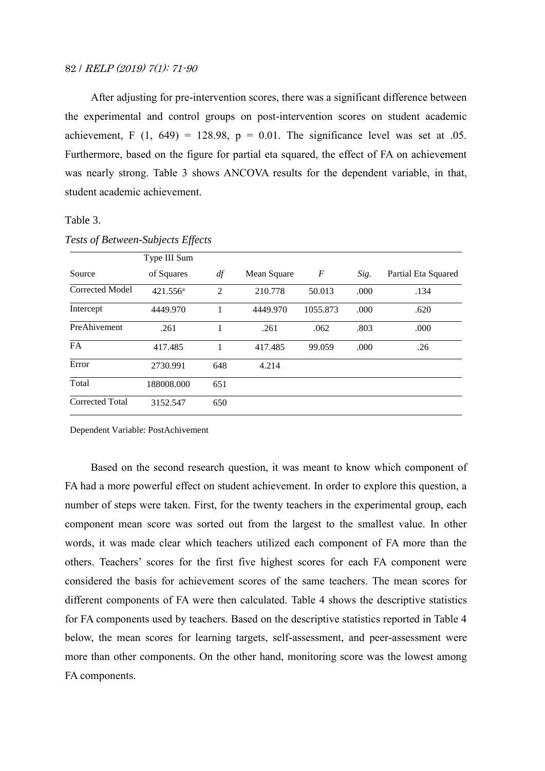After adjusting for pre-intervention scores, there was a significant difference between the experimental and control groups on post-intervention scores on student academic achievement, F  $(1, 649) = 128.98$ ,  $p = 0.01$ . The significance level was set at 0.05. Furthermore, based on the figure for partial eta squared, the effect of FA on achievement was nearly strong. Table 3 shows ANCOVA results for the dependent variable, in that, student academic achievement.

### Table 3.

|                        | Type III Sum |                |             |                  |      |                     |
|------------------------|--------------|----------------|-------------|------------------|------|---------------------|
| Source                 | of Squares   | df             | Mean Square | $\boldsymbol{F}$ | Sig. | Partial Eta Squared |
| <b>Corrected Model</b> | $421.556^a$  | $\overline{2}$ | 210.778     | 50.013           | .000 | .134                |
| Intercept              | 4449.970     | 1              | 4449.970    | 1055.873         | .000 | .620                |
| PreAhivement           | .261         | 1              | .261        | .062             | .803 | .000                |
| <b>FA</b>              | 417.485      | 1              | 417.485     | 99.059           | .000 | .26                 |
| Error                  | 2730.991     | 648            | 4.214       |                  |      |                     |
| Total                  | 188008.000   | 651            |             |                  |      |                     |
| <b>Corrected Total</b> | 3152.547     | 650            |             |                  |      |                     |

# *Tests of Between-Subjects Effects*

Dependent Variable: PostAchivement

Based on the second research question, it was meant to know which component of FA had a more powerful effect on student achievement. In order to explore this question, a number of steps were taken. First, for the twenty teachers in the experimental group, each component mean score was sorted out from the largest to the smallest value. In other words, it was made clear which teachers utilized each component of FA more than the others. Teachers' scores for the first five highest scores for each FA component were considered the basis for achievement scores of the same teachers. The mean scores for different components of FA were then calculated. Table 4 shows the descriptive statistics for FA components used by teachers. Based on the descriptive statistics reported in Table 4 below, the mean scores for learning targets, self-assessment, and peer-assessment were more than other components. On the other hand, monitoring score was the lowest among FA components.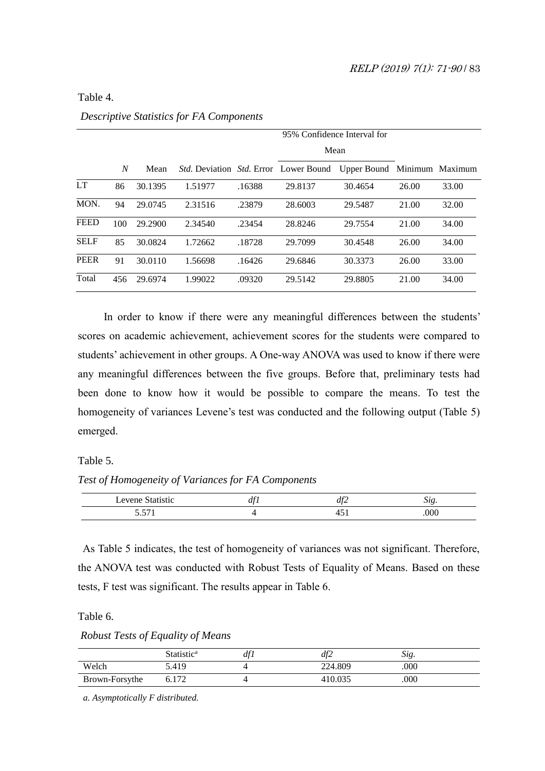## Table 4.

|             | 95% Confidence Interval for |         |         |        |                                                                                 |         |       |       |
|-------------|-----------------------------|---------|---------|--------|---------------------------------------------------------------------------------|---------|-------|-------|
|             |                             |         |         |        |                                                                                 | Mean    |       |       |
|             | N                           | Mean    |         |        | <i>Std.</i> Deviation <i>Std.</i> Error Lower Bound Upper Bound Minimum Maximum |         |       |       |
| <b>LT</b>   | 86                          | 30.1395 | 1.51977 | .16388 | 29.8137                                                                         | 30.4654 | 26.00 | 33.00 |
| MON.        | 94                          | 29.0745 | 2.31516 | .23879 | 28.6003                                                                         | 29.5487 | 21.00 | 32.00 |
| <b>FEED</b> | 100                         | 29.2900 | 2.34540 | .23454 | 28.8246                                                                         | 29.7554 | 21.00 | 34.00 |
| <b>SELF</b> | 85                          | 30.0824 | 1.72662 | .18728 | 29.7099                                                                         | 30.4548 | 26.00 | 34.00 |
| <b>PEER</b> | 91                          | 30.0110 | 1.56698 | .16426 | 29.6846                                                                         | 30.3373 | 26.00 | 33.00 |
| Total       | 456                         | 29.6974 | 1.99022 | .09320 | 29.5142                                                                         | 29.8805 | 21.00 | 34.00 |

## *Descriptive Statistics for FA Components*

In order to know if there were any meaningful differences between the students' scores on academic achievement, achievement scores for the students were compared to students' achievement in other groups. A One-way ANOVA was used to know if there were any meaningful differences between the five groups. Before that, preliminary tests had been done to know how it would be possible to compare the means. To test the homogeneity of variances Levene's test was conducted and the following output (Table 5) emerged.

## Table 5.

*Test of Homogeneity of Variances for FA Components*

| evene<br>$+0.110 + 0.012$<br>usuc | $T^{\prime}$<br>u<br>$\cdot$ | T<br>∼ |      |
|-----------------------------------|------------------------------|--------|------|
| $\sim$ $\sim$ $\sim$<br>ູບ ເປ     |                              | л.     | .000 |

 As Table 5 indicates, the test of homogeneity of variances was not significant. Therefore, the ANOVA test was conducted with Robust Tests of Equality of Means. Based on these tests, F test was significant. The results appear in Table 6.

#### Table 6.

*Robust Tests of Equality of Means*

|                | Statistic <sup>a</sup> | d†1 | df2     | Sig. |  |
|----------------|------------------------|-----|---------|------|--|
| Welch          | 419.د                  |     | 224.809 | .000 |  |
| Brown-Forsythe | $17^\circ$             |     | 410.035 | .000 |  |

*a. Asymptotically F distributed.*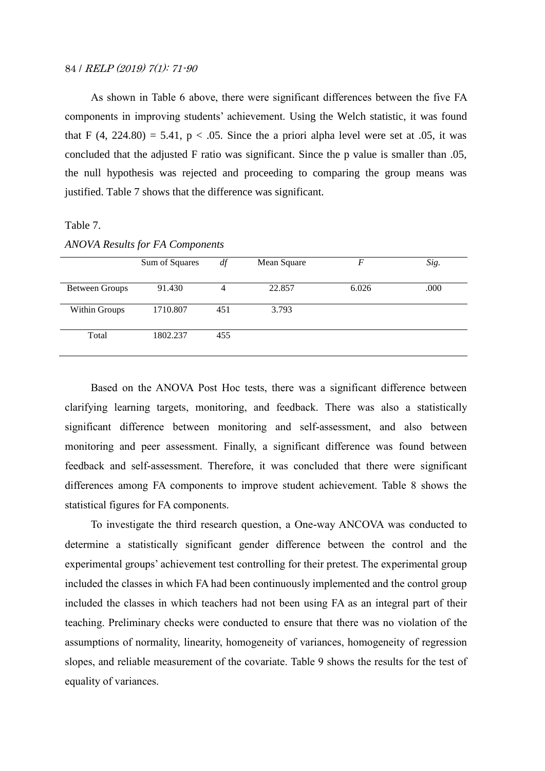As shown in Table 6 above, there were significant differences between the five FA components in improving students' achievement. Using the Welch statistic, it was found that F  $(4, 224.80) = 5.41$ , p < .05. Since the a priori alpha level were set at .05, it was concluded that the adjusted F ratio was significant. Since the p value is smaller than .05, the null hypothesis was rejected and proceeding to comparing the group means was justified. Table 7 shows that the difference was significant.

## Table 7.

|                       | Sum of Squares | df  | Mean Square | F     | Sig. |
|-----------------------|----------------|-----|-------------|-------|------|
| <b>Between Groups</b> | 91.430         | 4   | 22.857      | 6.026 | .000 |
| Within Groups         | 1710.807       | 451 | 3.793       |       |      |
| Total                 | 1802.237       | 455 |             |       |      |

#### *ANOVA Results for FA Components*

Based on the ANOVA Post Hoc tests, there was a significant difference between clarifying learning targets, monitoring, and feedback. There was also a statistically significant difference between monitoring and self-assessment, and also between monitoring and peer assessment. Finally, a significant difference was found between feedback and self-assessment. Therefore, it was concluded that there were significant differences among FA components to improve student achievement. Table 8 shows the statistical figures for FA components.

To investigate the third research question, a One-way ANCOVA was conducted to determine a statistically significant gender difference between the control and the experimental groups' achievement test controlling for their pretest. The experimental group included the classes in which FA had been continuously implemented and the control group included the classes in which teachers had not been using FA as an integral part of their teaching. Preliminary checks were conducted to ensure that there was no violation of the assumptions of normality, linearity, homogeneity of variances, homogeneity of regression slopes, and reliable measurement of the covariate. Table 9 shows the results for the test of equality of variances.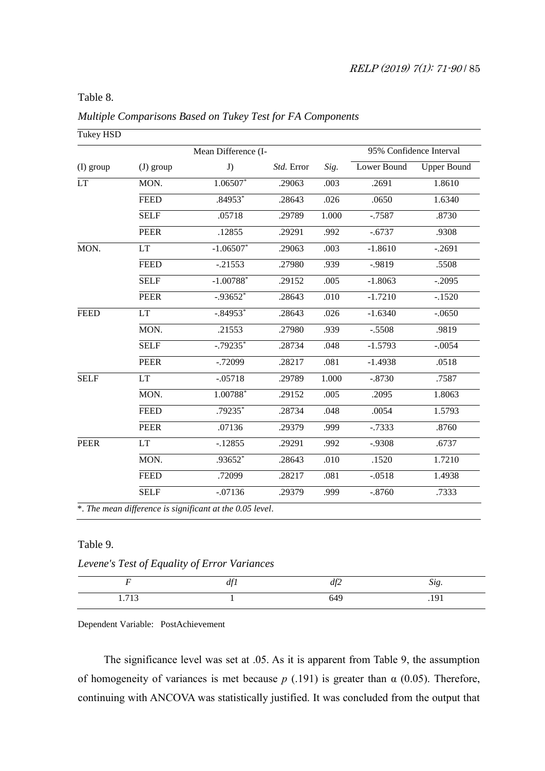# Table 8.

| <b>Tukey HSD</b> |             |                         |            |       |             |                         |
|------------------|-------------|-------------------------|------------|-------|-------------|-------------------------|
|                  |             | Mean Difference (I-     |            |       |             | 95% Confidence Interval |
| (I) group        | (J) group   | J)                      | Std. Error | Sig.  | Lower Bound | <b>Upper Bound</b>      |
| LT               | MON.        | $1.06507*$              | .29063     | .003  | .2691       | 1.8610                  |
|                  | <b>FEED</b> | $.84953*$               | .28643     | .026  | .0650       | 1.6340                  |
|                  | <b>SELF</b> | .05718                  | .29789     | 1.000 | $-0.7587$   | .8730                   |
|                  | <b>PEER</b> | .12855                  | .29291     | .992  | $-.6737$    | .9308                   |
| MON.             | <b>LT</b>   | $-1.06507$ *            | .29063     | .003  | $-1.8610$   | $-.2691$                |
|                  | <b>FEED</b> | $-21553$                | .27980     | .939  | $-0.9819$   | .5508                   |
|                  | <b>SELF</b> | $-1.00788$ <sup>*</sup> | .29152     | .005  | $-1.8063$   | $-.2095$                |
|                  | <b>PEER</b> | $-.93652*$              | .28643     | .010  | $-1.7210$   | $-.1520$                |
| <b>FEED</b>      | <b>LT</b>   | $-.84953*$              | .28643     | .026  | $-1.6340$   | $-.0650$                |
|                  | MON.        | .21553                  | .27980     | .939  | $-.5508$    | .9819                   |
|                  | <b>SELF</b> | $-0.79235$              | .28734     | .048  | $-1.5793$   | $-.0054$                |
|                  | <b>PEER</b> | $-.72099$               | .28217     | .081  | $-1.4938$   | .0518                   |
| <b>SELF</b>      | LT          | $-.05718$               | .29789     | 1.000 | $-.8730$    | .7587                   |
|                  | MON.        | 1.00788*                | .29152     | .005  | .2095       | 1.8063                  |
|                  | <b>FEED</b> | $.79235*$               | .28734     | .048  | .0054       | 1.5793                  |
|                  | <b>PEER</b> | .07136                  | .29379     | .999  | $-0.7333$   | .8760                   |
| <b>PEER</b>      | <b>LT</b>   | $-12855$                | .29291     | .992  | $-.9308$    | .6737                   |
|                  | MON.        | .93652*                 | .28643     | .010  | .1520       | 1.7210                  |
|                  | <b>FEED</b> | .72099                  | .28217     | .081  | $-.0518$    | 1.4938                  |
|                  | <b>SELF</b> | $-07136$                | .29379     | .999  | $-.8760$    | .7333                   |

|  |  | Multiple Comparisons Based on Tukey Test for FA Components |
|--|--|------------------------------------------------------------|
|  |  |                                                            |

\*. *The mean difference is significant at the 0.05 level*.

### Table 9.

*Levene's Test of Equality of Error Variances*

|               | 1c1<br>$\mu$ | df2 | $\Im \sigma$ |
|---------------|--------------|-----|--------------|
| 1712<br>1.713 |              | 649 | ۵۰.<br>.     |

Dependent Variable: PostAchievement

The significance level was set at .05. As it is apparent from Table 9, the assumption of homogeneity of variances is met because  $p(0.191)$  is greater than  $\alpha(0.05)$ . Therefore, continuing with ANCOVA was statistically justified. It was concluded from the output that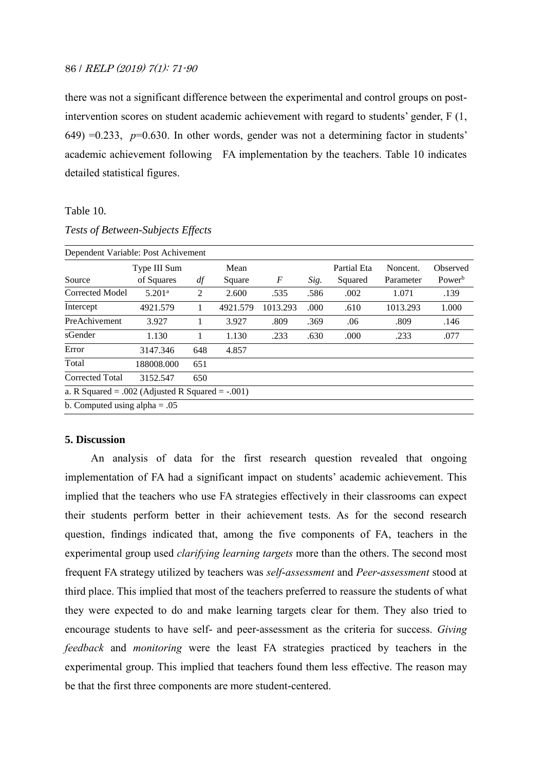there was not a significant difference between the experimental and control groups on postintervention scores on student academic achievement with regard to students' gender, F (1,  $(649) = 0.233$ ,  $p=0.630$ . In other words, gender was not a determining factor in students' academic achievement following FA implementation by the teachers. Table 10 indicates detailed statistical figures.

## Table 10.

|                                                       | Dependent Variable: Post Achivement |     |          |                  |      |             |           |                    |
|-------------------------------------------------------|-------------------------------------|-----|----------|------------------|------|-------------|-----------|--------------------|
|                                                       | Type III Sum                        |     | Mean     |                  |      | Partial Eta | Noncent.  | Observed           |
| Source                                                | of Squares                          | df  | Square   | $\boldsymbol{F}$ | Sig. | Squared     | Parameter | Power <sup>b</sup> |
| Corrected Model                                       | 5.201 <sup>a</sup>                  | 2   | 2.600    | .535             | .586 | .002        | 1.071     | .139               |
| Intercept                                             | 4921.579                            |     | 4921.579 | 1013.293         | .000 | .610        | 1013.293  | 1.000              |
| PreAchivement                                         | 3.927                               |     | 3.927    | .809             | .369 | .06         | .809      | .146               |
| sGender                                               | 1.130                               |     | 1.130    | .233             | .630 | .000        | .233      | .077               |
| Error                                                 | 3147.346                            | 648 | 4.857    |                  |      |             |           |                    |
| Total                                                 | 188008.000                          | 651 |          |                  |      |             |           |                    |
| <b>Corrected Total</b>                                | 3152.547                            | 650 |          |                  |      |             |           |                    |
| a. R Squared = $.002$ (Adjusted R Squared = $-.001$ ) |                                     |     |          |                  |      |             |           |                    |
| b. Computed using alpha $= .05$                       |                                     |     |          |                  |      |             |           |                    |

#### *Tests of Between-Subjects Effects*

## **5. Discussion**

An analysis of data for the first research question revealed that ongoing implementation of FA had a significant impact on students' academic achievement. This implied that the teachers who use FA strategies effectively in their classrooms can expect their students perform better in their achievement tests. As for the second research question, findings indicated that, among the five components of FA, teachers in the experimental group used *clarifying learning targets* more than the others. The second most frequent FA strategy utilized by teachers was *self-assessment* and *Peer*-*assessment* stood at third place. This implied that most of the teachers preferred to reassure the students of what they were expected to do and make learning targets clear for them. They also tried to encourage students to have self- and peer-assessment as the criteria for success. *Giving feedback* and *monitoring* were the least FA strategies practiced by teachers in the experimental group. This implied that teachers found them less effective. The reason may be that the first three components are more student-centered.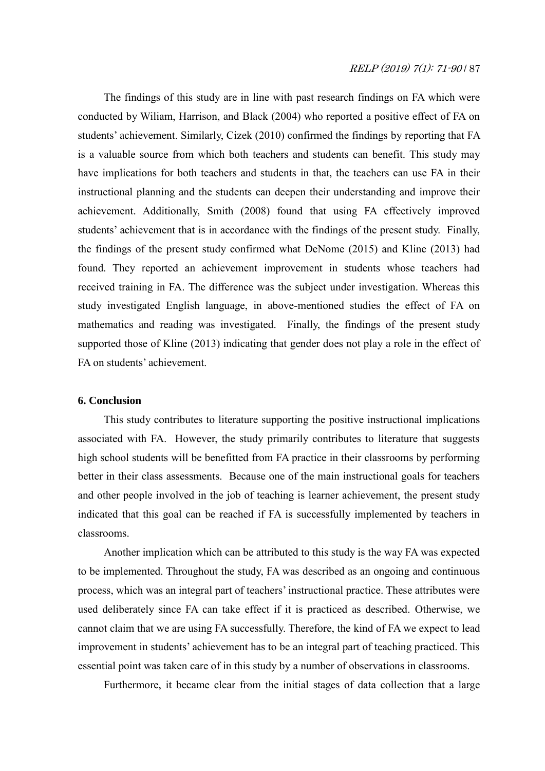## RELP (2019) 7(1): 71-90 / 87

The findings of this study are in line with past research findings on FA which were conducted by Wiliam, Harrison, and Black (2004) who reported a positive effect of FA on students' achievement. Similarly, Cizek (2010) confirmed the findings by reporting that FA is a valuable source from which both teachers and students can benefit. This study may have implications for both teachers and students in that, the teachers can use FA in their instructional planning and the students can deepen their understanding and improve their achievement. Additionally, Smith (2008) found that using FA effectively improved students' achievement that is in accordance with the findings of the present study. Finally, the findings of the present study confirmed what DeNome (2015) and Kline (2013) had found. They reported an achievement improvement in students whose teachers had received training in FA. The difference was the subject under investigation. Whereas this study investigated English language, in above-mentioned studies the effect of FA on mathematics and reading was investigated. Finally, the findings of the present study supported those of Kline (2013) indicating that gender does not play a role in the effect of FA on students' achievement.

### **6. Conclusion**

This study contributes to literature supporting the positive instructional implications associated with FA. However, the study primarily contributes to literature that suggests high school students will be benefitted from FA practice in their classrooms by performing better in their class assessments. Because one of the main instructional goals for teachers and other people involved in the job of teaching is learner achievement, the present study indicated that this goal can be reached if FA is successfully implemented by teachers in classrooms.

Another implication which can be attributed to this study is the way FA was expected to be implemented. Throughout the study, FA was described as an ongoing and continuous process, which was an integral part of teachers' instructional practice. These attributes were used deliberately since FA can take effect if it is practiced as described. Otherwise, we cannot claim that we are using FA successfully. Therefore, the kind of FA we expect to lead improvement in students' achievement has to be an integral part of teaching practiced. This essential point was taken care of in this study by a number of observations in classrooms.

Furthermore, it became clear from the initial stages of data collection that a large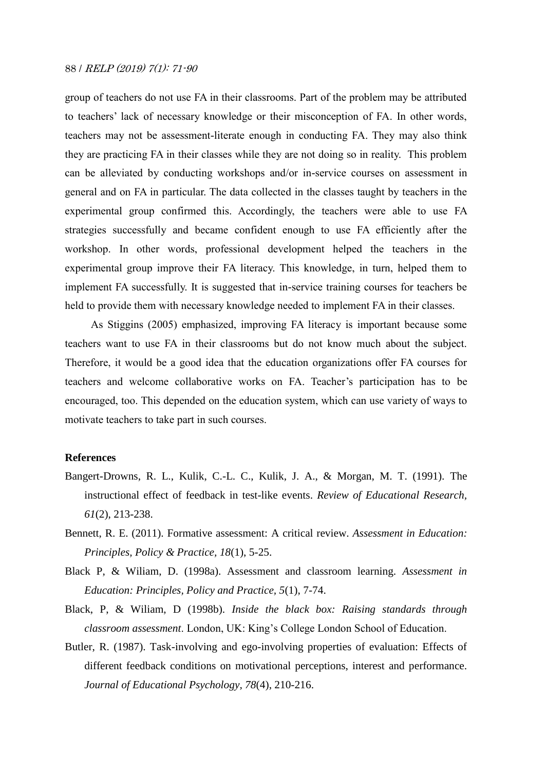group of teachers do not use FA in their classrooms. Part of the problem may be attributed to teachers' lack of necessary knowledge or their misconception of FA. In other words, teachers may not be assessment-literate enough in conducting FA. They may also think they are practicing FA in their classes while they are not doing so in reality. This problem can be alleviated by conducting workshops and/or in-service courses on assessment in general and on FA in particular. The data collected in the classes taught by teachers in the experimental group confirmed this. Accordingly, the teachers were able to use FA strategies successfully and became confident enough to use FA efficiently after the workshop. In other words, professional development helped the teachers in the experimental group improve their FA literacy. This knowledge, in turn, helped them to implement FA successfully. It is suggested that in-service training courses for teachers be held to provide them with necessary knowledge needed to implement FA in their classes.

As Stiggins (2005) emphasized, improving FA literacy is important because some teachers want to use FA in their classrooms but do not know much about the subject. Therefore, it would be a good idea that the education organizations offer FA courses for teachers and welcome collaborative works on FA. Teacher's participation has to be encouraged, too. This depended on the education system, which can use variety of ways to motivate teachers to take part in such courses.

#### **References**

- Bangert-Drowns, R. L., Kulik, C.-L. C., Kulik, J. A., & Morgan, M. T. (1991). The instructional effect of feedback in test-like events. *Review of Educational Research, 61*(2), 213-238.
- Bennett, R. E. (2011). Formative assessment: A critical review. *Assessment in Education: Principles, Policy & Practice, 18*(1), 5-25.
- Black P, & Wiliam, D. (1998a). Assessment and classroom learning. *Assessment in Education: Principles, Policy and Practice, 5*(1), 7-74.
- Black, P, & Wiliam, D (1998b). *Inside the black box: Raising standards through classroom assessment*. London, UK: King's College London School of Education.
- Butler, R. (1987). Task-involving and ego-involving properties of evaluation: Effects of different feedback conditions on motivational perceptions, interest and performance. *Journal of Educational Psychology, 78*(4), 210-216.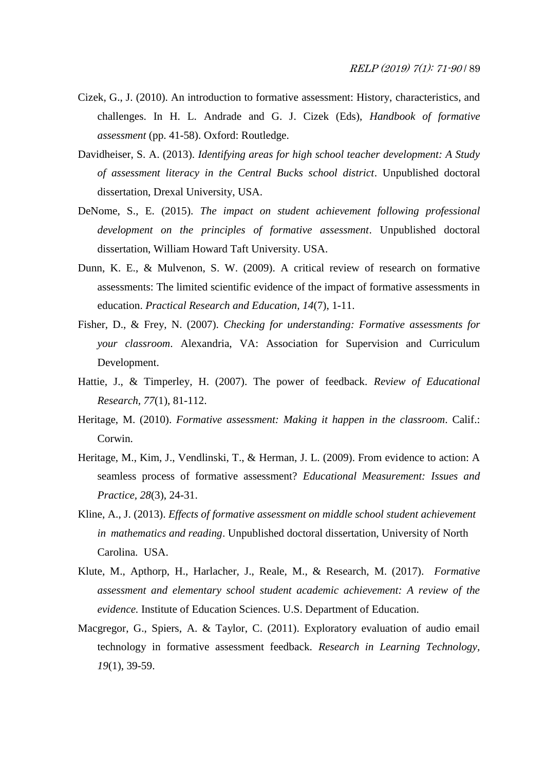- Cizek, G., J. (2010). An introduction to formative assessment: History, characteristics, and challenges. In H. L. Andrade and G. J. Cizek (Eds), *Handbook of formative assessment* (pp. 41-58). Oxford: Routledge.
- Davidheiser, S. A. (2013). *Identifying areas for high school teacher development: A Study of assessment literacy in the Central Bucks school district*. Unpublished doctoral dissertation, Drexal University, USA.
- DeNome, S., E. (2015). *The impact on student achievement following professional development on the principles of formative assessment*. Unpublished doctoral dissertation, William Howard Taft University. USA.
- Dunn, K. E., & Mulvenon, S. W. (2009). A critical review of research on formative assessments: The limited scientific evidence of the impact of formative assessments in education. *Practical Research and Education, 14*(7), 1-11.
- Fisher, D., & Frey, N. (2007). *Checking for understanding: Formative assessments for your classroom*. Alexandria, VA: Association for Supervision and Curriculum Development.
- Hattie, J., & Timperley, H. (2007). The power of feedback. *Review of Educational Research, 77*(1), 81-112.
- Heritage, M. (2010). *Formative assessment: Making it happen in the classroom*. Calif.: Corwin.
- Heritage, M., Kim, J., Vendlinski, T., & Herman, J. L. (2009). From evidence to action: A seamless process of formative assessment? *Educational Measurement: Issues and Practice, 28*(3), 24-31.
- Kline, A., J. (2013). *Effects of formative assessment on middle school student achievement in mathematics and reading*. Unpublished doctoral dissertation, University of North Carolina. USA.
- Klute, M., Apthorp, H., Harlacher, J., Reale, M., & Research, M. (2017). *Formative assessment and elementary school student academic achievement: A review of the evidence.* Institute of Education Sciences. U.S. Department of Education.
- Macgregor, G., Spiers, A. & Taylor, C. (2011). Exploratory evaluation of audio email technology in formative assessment feedback. *Research in Learning Technology, 19*(1), 39-59.